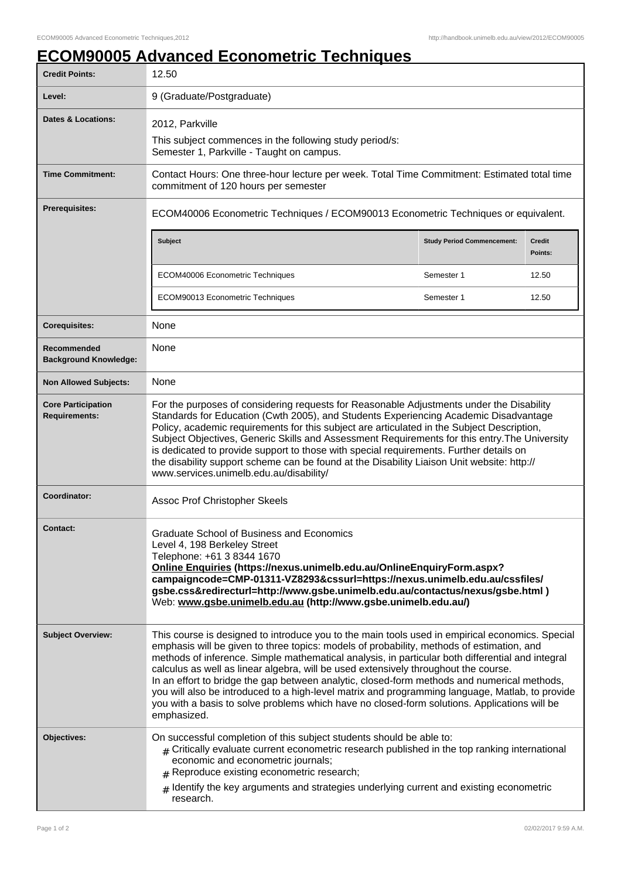## **ECOM90005 Advanced Econometric Techniques**

| <b>Credit Points:</b>                             | 12.50                                                                                                                                                                                                                                                                                                                                                                                                                                                                                                                                                                                                                                                                                                    |                                   |                          |
|---------------------------------------------------|----------------------------------------------------------------------------------------------------------------------------------------------------------------------------------------------------------------------------------------------------------------------------------------------------------------------------------------------------------------------------------------------------------------------------------------------------------------------------------------------------------------------------------------------------------------------------------------------------------------------------------------------------------------------------------------------------------|-----------------------------------|--------------------------|
| Level:                                            | 9 (Graduate/Postgraduate)                                                                                                                                                                                                                                                                                                                                                                                                                                                                                                                                                                                                                                                                                |                                   |                          |
| <b>Dates &amp; Locations:</b>                     | 2012, Parkville<br>This subject commences in the following study period/s:<br>Semester 1, Parkville - Taught on campus.                                                                                                                                                                                                                                                                                                                                                                                                                                                                                                                                                                                  |                                   |                          |
| <b>Time Commitment:</b>                           | Contact Hours: One three-hour lecture per week. Total Time Commitment: Estimated total time<br>commitment of 120 hours per semester                                                                                                                                                                                                                                                                                                                                                                                                                                                                                                                                                                      |                                   |                          |
| <b>Prerequisites:</b>                             | ECOM40006 Econometric Techniques / ECOM90013 Econometric Techniques or equivalent.                                                                                                                                                                                                                                                                                                                                                                                                                                                                                                                                                                                                                       |                                   |                          |
|                                                   | <b>Subject</b>                                                                                                                                                                                                                                                                                                                                                                                                                                                                                                                                                                                                                                                                                           | <b>Study Period Commencement:</b> | <b>Credit</b><br>Points: |
|                                                   | ECOM40006 Econometric Techniques                                                                                                                                                                                                                                                                                                                                                                                                                                                                                                                                                                                                                                                                         | Semester 1                        | 12.50                    |
|                                                   | ECOM90013 Econometric Techniques                                                                                                                                                                                                                                                                                                                                                                                                                                                                                                                                                                                                                                                                         | Semester 1                        | 12.50                    |
| <b>Corequisites:</b>                              | None                                                                                                                                                                                                                                                                                                                                                                                                                                                                                                                                                                                                                                                                                                     |                                   |                          |
| Recommended<br><b>Background Knowledge:</b>       | None                                                                                                                                                                                                                                                                                                                                                                                                                                                                                                                                                                                                                                                                                                     |                                   |                          |
| <b>Non Allowed Subjects:</b>                      | None                                                                                                                                                                                                                                                                                                                                                                                                                                                                                                                                                                                                                                                                                                     |                                   |                          |
| <b>Core Participation</b><br><b>Requirements:</b> | For the purposes of considering requests for Reasonable Adjustments under the Disability<br>Standards for Education (Cwth 2005), and Students Experiencing Academic Disadvantage<br>Policy, academic requirements for this subject are articulated in the Subject Description,<br>Subject Objectives, Generic Skills and Assessment Requirements for this entry. The University<br>is dedicated to provide support to those with special requirements. Further details on<br>the disability support scheme can be found at the Disability Liaison Unit website: http://<br>www.services.unimelb.edu.au/disability/                                                                                       |                                   |                          |
| <b>Coordinator:</b>                               | Assoc Prof Christopher Skeels                                                                                                                                                                                                                                                                                                                                                                                                                                                                                                                                                                                                                                                                            |                                   |                          |
| <b>Contact:</b>                                   | Graduate School of Business and Economics<br>Level 4, 198 Berkeley Street<br>Telephone: +61 3 8344 1670<br>Online Enquiries (https://nexus.unimelb.edu.au/OnlineEnquiryForm.aspx?<br>campaigncode=CMP-01311-VZ8293&cssurl=https://nexus.unimelb.edu.au/cssfiles/<br>gsbe.css&redirecturl=http://www.gsbe.unimelb.edu.au/contactus/nexus/gsbe.html)<br>Web: www.gsbe.unimelb.edu.au (http://www.gsbe.unimelb.edu.au/)                                                                                                                                                                                                                                                                                     |                                   |                          |
| <b>Subject Overview:</b>                          | This course is designed to introduce you to the main tools used in empirical economics. Special<br>emphasis will be given to three topics: models of probability, methods of estimation, and<br>methods of inference. Simple mathematical analysis, in particular both differential and integral<br>calculus as well as linear algebra, will be used extensively throughout the course.<br>In an effort to bridge the gap between analytic, closed-form methods and numerical methods,<br>you will also be introduced to a high-level matrix and programming language, Matlab, to provide<br>you with a basis to solve problems which have no closed-form solutions. Applications will be<br>emphasized. |                                   |                          |
| Objectives:                                       | On successful completion of this subject students should be able to:<br>$#$ Critically evaluate current econometric research published in the top ranking international<br>economic and econometric journals;<br>Reproduce existing econometric research;<br>Identify the key arguments and strategies underlying current and existing econometric<br>$\pm$<br>research.                                                                                                                                                                                                                                                                                                                                 |                                   |                          |